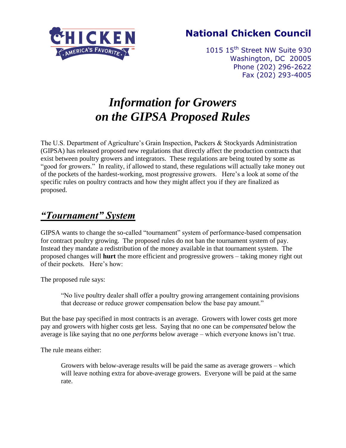

## **National Chicken Council**

1015 15<sup>th</sup> Street NW Suite 930 Washington, DC 20005 Phone (202) 296-2622 Fax (202) 293-4005

# *Information for Growers on the GIPSA Proposed Rules*

The U.S. Department of Agriculture's Grain Inspection, Packers & Stockyards Administration (GIPSA) has released proposed new regulations that directly affect the production contracts that exist between poultry growers and integrators. These regulations are being touted by some as "good for growers." In reality, if allowed to stand, these regulations will actually take money out of the pockets of the hardest-working, most progressive growers. Here"s a look at some of the specific rules on poultry contracts and how they might affect you if they are finalized as proposed.

## *"Tournament" System*

GIPSA wants to change the so-called "tournament" system of performance-based compensation for contract poultry growing. The proposed rules do not ban the tournament system of pay. Instead they mandate a redistribution of the money available in that tournament system. The proposed changes will **hurt** the more efficient and progressive growers – taking money right out of their pockets. Here"s how:

The proposed rule says:

"No live poultry dealer shall offer a poultry growing arrangement containing provisions that decrease or reduce grower compensation below the base pay amount."

But the base pay specified in most contracts is an average. Growers with lower costs get more pay and growers with higher costs get less. Saying that no one can be *compensated* below the average is like saying that no one *performs* below average – which everyone knows isn"t true.

The rule means either:

Growers with below-average results will be paid the same as average growers – which will leave nothing extra for above-average growers. Everyone will be paid at the same rate.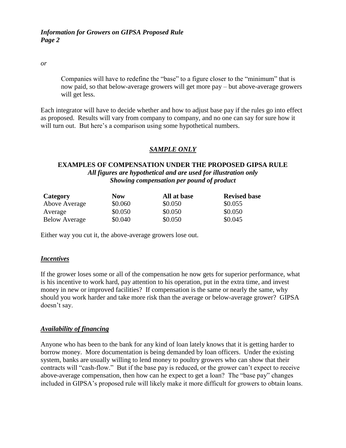*or*

Companies will have to redefine the "base" to a figure closer to the "minimum" that is now paid, so that below-average growers will get more pay – but above-average growers will get less.

Each integrator will have to decide whether and how to adjust base pay if the rules go into effect as proposed. Results will vary from company to company, and no one can say for sure how it will turn out. But here's a comparison using some hypothetical numbers.

### *SAMPLE ONLY*

### **EXAMPLES OF COMPENSATION UNDER THE PROPOSED GIPSA RULE** *All figures are hypothetical and are used for illustration only Showing compensation per pound of product*

| Category             | <b>Now</b> | All at base | <b>Revised base</b> |
|----------------------|------------|-------------|---------------------|
| Above Average        | \$0.060    | \$0.050     | \$0.055             |
| Average              | \$0.050    | \$0.050     | \$0.050             |
| <b>Below Average</b> | \$0.040    | \$0.050     | \$0.045             |

Either way you cut it, the above-average growers lose out.

#### *Incentives*

If the grower loses some or all of the compensation he now gets for superior performance, what is his incentive to work hard, pay attention to his operation, put in the extra time, and invest money in new or improved facilities? If compensation is the same or nearly the same, why should you work harder and take more risk than the average or below-average grower? GIPSA doesn"t say.

### *Availability of financing*

Anyone who has been to the bank for any kind of loan lately knows that it is getting harder to borrow money. More documentation is being demanded by loan officers. Under the existing system, banks are usually willing to lend money to poultry growers who can show that their contracts will "cash-flow." But if the base pay is reduced, or the grower can"t expect to receive above-average compensation, then how can he expect to get a loan? The "base pay" changes included in GIPSA"s proposed rule will likely make it more difficult for growers to obtain loans.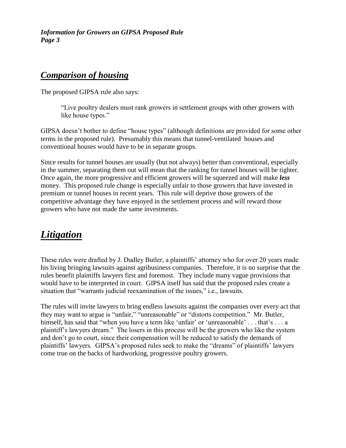### *Comparison of housing*

The proposed GIPSA rule also says:

"Live poultry dealers must rank growers in settlement groups with other growers with like house types."

GIPSA doesn"t bother to define "house types" (although definitions are provided for some other terms in the proposed rule). Presumably this means that tunnel-ventilated houses and conventional houses would have to be in separate groups.

Since results for tunnel houses are usually (but not always) better than conventional, especially in the summer, separating them out will mean that the ranking for tunnel houses will be tighter. Once again, the more progressive and efficient growers will be squeezed and will make *less* money. This proposed rule change is especially unfair to those growers that have invested in premium or tunnel houses in recent years. This rule will deprive those growers of the competitive advantage they have enjoyed in the settlement process and will reward those growers who have not made the same investments.

## *Litigation*

These rules were drafted by J. Dudley Butler, a plaintiffs" attorney who for over 20 years made his living bringing lawsuits against agribusiness companies. Therefore, it is no surprise that the rules benefit plaintiffs lawyers first and foremost. They include many vague provisions that would have to be interpreted in court. GIPSA itself has said that the proposed rules create a situation that "warrants judicial reexamination of the issues," i.e., lawsuits.

The rules will invite lawyers to bring endless lawsuits against the companies over every act that they may want to argue is "unfair," "unreasonable" or "distorts competition." Mr. Butler, himself, has said that "when you have a term like 'unfair' or 'unreasonable' . . . that's . . . a plaintiff"s lawyers dream." The losers in this process will be the growers who like the system and don"t go to court, since their compensation will be reduced to satisfy the demands of plaintiffs" lawyers. GIPSA"s proposed rules seek to make the "dreams" of plaintiffs" lawyers come true on the backs of hardworking, progressive poultry growers.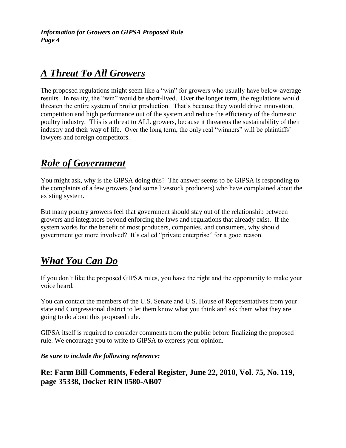## *A Threat To All Growers*

The proposed regulations might seem like a "win" for growers who usually have below-average results. In reality, the "win" would be short-lived. Over the longer term, the regulations would threaten the entire system of broiler production. That"s because they would drive innovation, competition and high performance out of the system and reduce the efficiency of the domestic poultry industry. This is a threat to ALL growers, because it threatens the sustainability of their industry and their way of life. Over the long term, the only real "winners" will be plaintiffs" lawyers and foreign competitors.

### *Role of Government*

You might ask, why is the GIPSA doing this? The answer seems to be GIPSA is responding to the complaints of a few growers (and some livestock producers) who have complained about the existing system.

But many poultry growers feel that government should stay out of the relationship between growers and integrators beyond enforcing the laws and regulations that already exist. If the system works for the benefit of most producers, companies, and consumers, why should government get more involved? It"s called "private enterprise" for a good reason.

## *What You Can Do*

If you don"t like the proposed GIPSA rules, you have the right and the opportunity to make your voice heard.

You can contact the members of the U.S. Senate and U.S. House of Representatives from your state and Congressional district to let them know what you think and ask them what they are going to do about this proposed rule.

GIPSA itself is required to consider comments from the public before finalizing the proposed rule. We encourage you to write to GIPSA to express your opinion.

*Be sure to include the following reference:*

### **Re: Farm Bill Comments, Federal Register, June 22, 2010, Vol. 75, No. 119, page 35338, Docket RIN 0580-AB07**